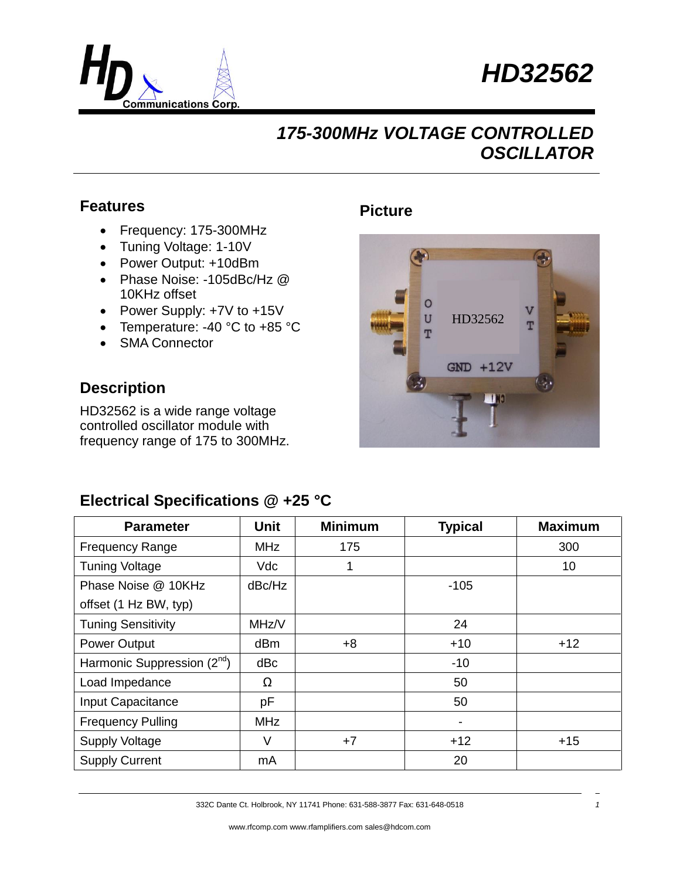



### **Features**

- Frequency: 175-300MHz
- Tuning Voltage: 1-10V
- Power Output: +10dBm
- Phase Noise: -105dBc/Hz @ 10KHz offset
- Power Supply: +7V to +15V
- Temperature: -40 °C to +85 °C
- SMA Connector

#### **Description**

HD32562 is a wide range voltage controlled oscillator module with frequency range of 175 to 300MHz.

#### **Picture**



### **Electrical Specifications @ +25 °C**

| <b>Parameter</b>                        | <b>Unit</b> | <b>Minimum</b> | <b>Typical</b>           | <b>Maximum</b> |
|-----------------------------------------|-------------|----------------|--------------------------|----------------|
| <b>Frequency Range</b>                  | <b>MHz</b>  | 175            |                          | 300            |
| <b>Tuning Voltage</b>                   | Vdc         | 1              |                          | 10             |
| Phase Noise @ 10KHz                     | dBc/Hz      |                | $-105$                   |                |
| offset (1 Hz BW, typ)                   |             |                |                          |                |
| <b>Tuning Sensitivity</b>               | MHz/V       |                | 24                       |                |
| <b>Power Output</b>                     | dBm         | $+8$           | $+10$                    | $+12$          |
| Harmonic Suppression (2 <sup>nd</sup> ) | dBc         |                | $-10$                    |                |
| Load Impedance                          | Ω           |                | 50                       |                |
| Input Capacitance                       | pF          |                | 50                       |                |
| <b>Frequency Pulling</b>                | <b>MHz</b>  |                | $\overline{\phantom{a}}$ |                |
| <b>Supply Voltage</b>                   | V           | $+7$           | $+12$                    | $+15$          |
| <b>Supply Current</b>                   | mA          |                | 20                       |                |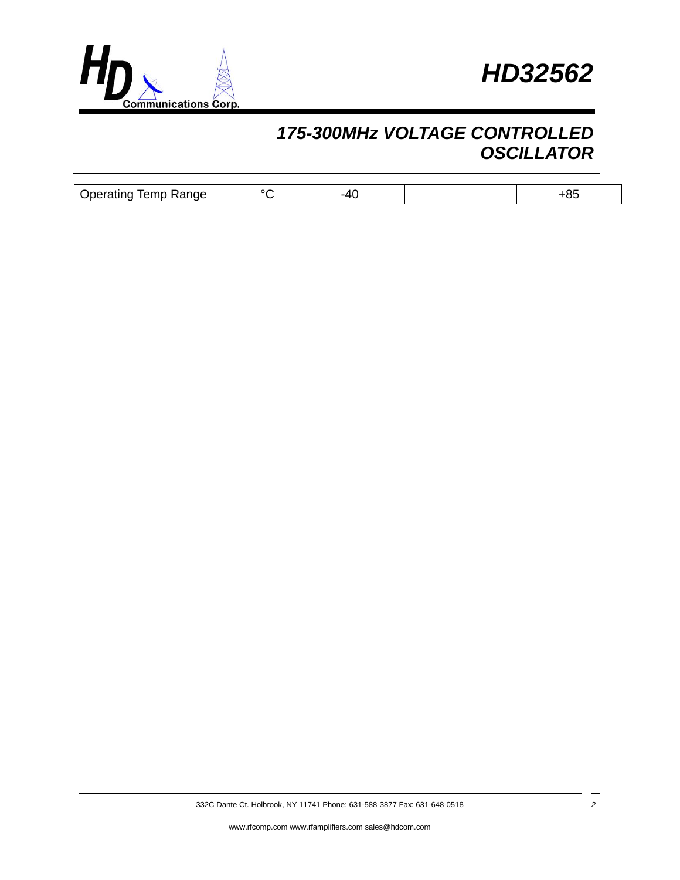



| Jperatıng<br>$\sim$ moments.<br>Range<br>Temp | n r |  |  |
|-----------------------------------------------|-----|--|--|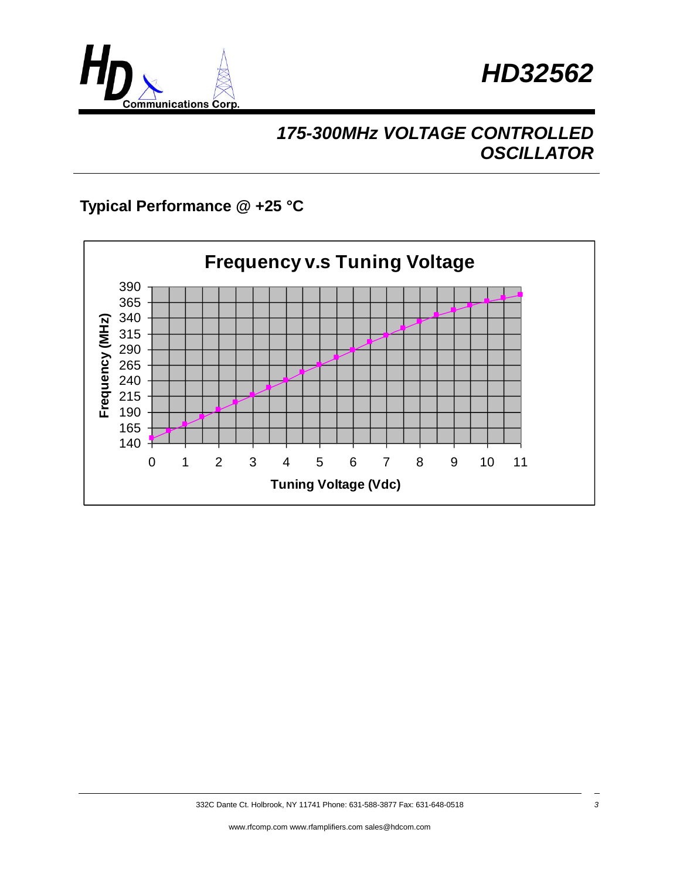



### **Typical Performance @ +25 °C**

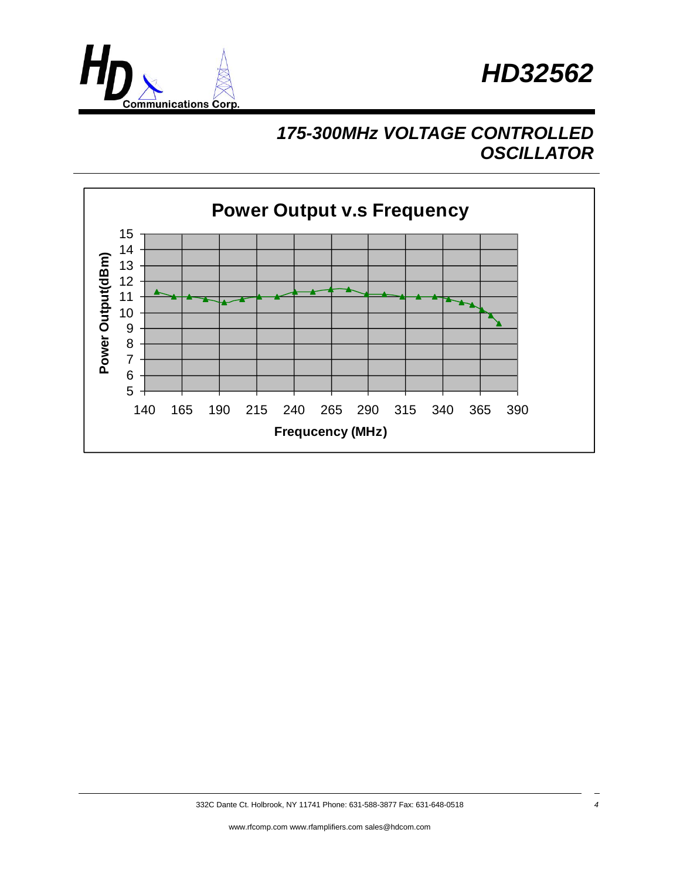